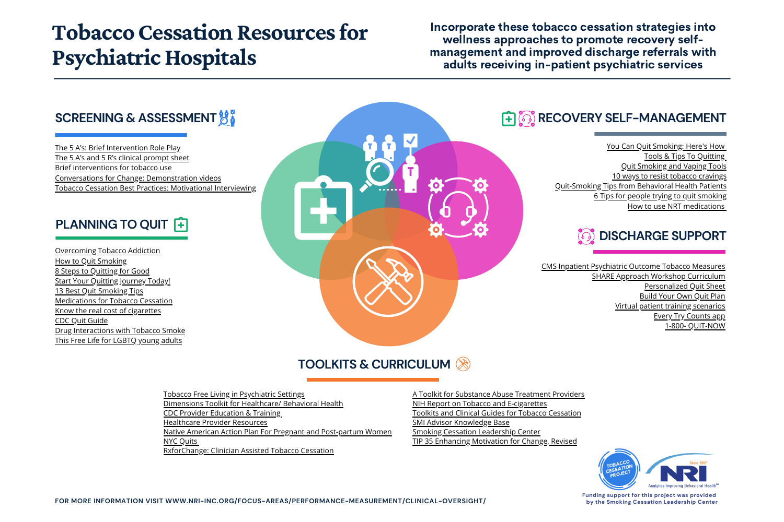## **Tobacco Cessation Resources for** Psychiatric Hospitals

### **SCREENING & ASSESSMENT**  $\frac{16}{60}$

#### **RECOVERY SELF-MANAGEMENT**

#### **TOOLKITS & CURRICULUM**

[The 5 A's: Brief Intervention Role Play](https://youtu.be/yzWfgjXsgr4) [The 5 A's and 5 R's clinical prompt sheet](http://nri-inc.org/focus-areas/performance-measurement/clinical-oversight/tobacco-cessation/) [Brief interventions for tobacco use](https://mdquit.org/cessation-programs/brief-interventions) [Conversations for Change: Demonstration videos](https://www.bhwellness.org/resources/videos/conversations-for-change-series/) [Tobacco Cessation Best Practices: Motivational Interviewing](https://www.bhwellness.org/wp-content/uploads/BAC-Module-03.pdf)

[Overcoming Tobacco Addiction](https://www.cancer.org/healthy/stay-away-from-tobacco/guide-quitting-smoking.html) [How to Quit Smoking](https://www.helpguide.org/articles/addictions/how-to-quit-smoking.htm) [8 Steps to Quitting for Good](https://www.addictionsandrecovery.org/quit-smoking/how-to-quit-smoking-plan.htm) **[Start Your Quitting Journey Today!](https://www.cdc.gov/tobacco/campaign/tips/quit-smoking/index.html?s_cid=OSH_tips_GL0004&utm_source=google&utm_medium=cpc&utm_campaign=Quit+2020;S;WL;BR;IMM;DTC;CO&utm_content=Quit+Smoking+-+General_P&utm_term=quit+smoking&gclid=Cj0KCQjwl4v4BRDaARIsAFjATPk46bCy4ng55ZU5_DAYC6Xp4tHMEGBkOrls3LZZEP_nbbLf_sbLLK4aApJVEALw_wcB&gclsrc=aw.ds)** [13 Best Quit Smoking Tips](https://www.webmd.com/smoking-cessation/ss/slideshow-13-best-quit-smoking-tips-ever) [Medications for Tobacco Cessation](https://www.bhwellness.org/wp-content/uploads/Clinical-Use-of-Pharmacotherapies-for-Tobacco-Cessation-Guidelines.pdf) [Know the real cost of cigarettes](https://therealcost.betobaccofree.hhs.gov/cigarettes) [CDC Quit Guide](https://www.cdc.gov/tobacco/campaign/tips/quit-smoking/guide/index.html) [Drug Interactions with Tobacco Smoke](https://www.aafp.org/dam/AAFP/documents/patient_care/tobacco/drug-interactions.pdf) [This Free Life for LGBTQ young adults](https://www.fda.gov/tobacco-products/free-life-campaign)

### **PLANNING TO QUIT**



[CMS Inpatient Psychiatric Outcome Tobacco Measures](http://nri-inc.org/focus-areas/performance-measurement/clinical-oversight/tobacco-cessation/) [SHARE Approach Workshop Curriculum](https://www.ahrq.gov/health-literacy/curriculum-tools/shareddecisionmaking/index.html) [Personalized Quit Sheet](https://www.ahrq.gov/sites/default/files/wysiwyg/professionals/clinicians-providers/guidelines-recommendations/tobacco/clinicians/tearsheets/tearsheet.pdf) [Build Your Own Quit Plan](https://smokefree.gov/build-your-quit-plan) [Virtual patient training scenarios](https://virtualrx.ucsf.edu/) [Every Try Counts app](https://everytrycounts.betobaccofree.hhs.gov/) [1-800- QUIT-NOW](https://www.cdc.gov/tobacco/quit_smoking/cessation/faq-about-1-800-quit-now/index.html/)



[You Can Quit Smoking: Here's How](https://www.cdc.gov/tobacco/quit_smoking/how_to_quit/index.htm) [Tools & Tips To Quitting](https://smokefree.gov/) [Quit Smoking and Vaping Tools](https://truthinitiative.org/what-we-do/quit-smoking-tools) [10 ways to resist tobacco cravings](https://www.mayoclinic.org/healthy-lifestyle/quit-smoking/in-depth/nicotine-craving/art-20045454) [Quit-Smoking Tips from Behavioral Health Patients](https://ctri.wisc.edu/providers/behavioral-health/tobacco-and-behavioral-health-videos/) [6 Tips for people trying to quit smoking](https://truthinitiative.org/research-resources/quitting-smoking-vaping/6-tips-people-trying-quit-smoking) [How to use NRT medications](https://hr.umich.edu/sites/default/files/how_to_use_nicotine_replacement_medications.pdf)

[Tobacco Free Living in Psychiatric Settings](https://www.samhsa.gov/sites/default/files/programs_campaigns/samhsa_hrsa/tobacco-free-psychiatric-settings.pdf) [Dimensions Toolkit for Healthcare/ Behavioral Health](https://www.attud.org/pdf/CABHWI_Toolkit_Web_5.30.19.pdf) [CDC Provider Education & Training](https://www.bhwellness.org/toolkits/TF-Toolkit-Supp-Behavioral-Health.pdf) [Healthcare Provider Resources](https://www.cdc.gov/tobacco/basic_information/for-health-care-providers/education-training/index.html) [Native American Action Plan For Pregnant and Post-partum Women](http://www.tobacco-cessation.org/PDFs/NativeAmericanActionPlan.pdf) [NYC Quits](https://www1.nyc.gov/site/doh/health/health-topics/smoking-nyc-quits.page) [RxforChange: Clinician Assisted Tobacco Cessation](https://rxforchange.ucsf.edu/)

[A Toolkit for Substance Abuse Treatment Providers](https://www.dshs.wa.gov/sites/default/files/BHSIA/dbh/documents/COTobaccoToolkit.pdf) [NIH Report on Tobacco and E-cigarettes](https://www.drugabuse.gov/publications/research-reports/tobacco-nicotine-e-cigarettes/introduction) [Toolkits and Clinical Guides for Tobacco Cessation](https://dmh.mo.gov/mental-illness/tobacco/toolkits-and-guides) [SMI Advisor Knowledge Base](https://smiadviser.org/knowledge-base) [Smoking Cessation Leadership Center](https://smokingcessationleadership.ucsf.edu/) [TIP 35 Enhancing Motivation for Change, Revised](https://store.samhsa.gov/sites/default/files/d7/priv/tip35_final_508_compliant_-_02252020_0.pdf)



Incorporate these tobacco cessation strategies into wellness approaches to promote recovery selfmanagement and improved discharge referrals with adults receiving in-patient psychiatric services



**Funding support for this project was provided by the Smoking Cessation Leadership Center**